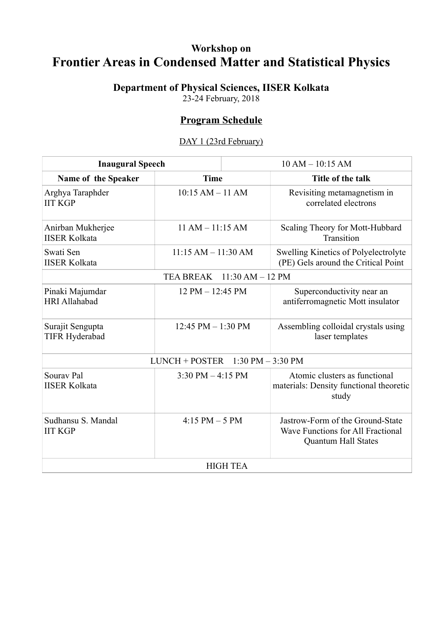## **Workshop on Frontier Areas in Condensed Matter and Statistical Physics**

**Department of Physical Sciences, IISER Kolkata**

23-24 February, 2018

## **Program Schedule**

## DAY 1 (23rd February)

| <b>Inaugural Speech</b>                   |                                      | $10 AM - 10:15 AM$ |                                                                                                     |  |  |
|-------------------------------------------|--------------------------------------|--------------------|-----------------------------------------------------------------------------------------------------|--|--|
| Name of the Speaker                       | <b>Time</b>                          |                    | Title of the talk                                                                                   |  |  |
| Arghya Taraphder<br><b>IIT KGP</b>        | $10:15 AM - 11 AM$                   |                    | Revisiting metamagnetism in<br>correlated electrons                                                 |  |  |
| Anirban Mukherjee<br><b>IISER Kolkata</b> | $11 AM - 11:15 AM$                   |                    | Scaling Theory for Mott-Hubbard<br>Transition                                                       |  |  |
| Swati Sen<br><b>IISER Kolkata</b>         | $11:15 AM - 11:30 AM$                |                    | Swelling Kinetics of Polyelectrolyte<br>(PE) Gels around the Critical Point                         |  |  |
| $11:30 AM - 12 PM$<br><b>TEA BREAK</b>    |                                      |                    |                                                                                                     |  |  |
| Pinaki Majumdar<br><b>HRI Allahabad</b>   | $12 PM - 12:45 PM$                   |                    | Superconductivity near an<br>antiferromagnetic Mott insulator                                       |  |  |
| Surajit Sengupta<br>TIFR Hyderabad        | $12:45 \text{ PM} - 1:30 \text{ PM}$ |                    | Assembling colloidal crystals using<br>laser templates                                              |  |  |
| LUNCH + POSTER $1:30$ PM $-3:30$ PM       |                                      |                    |                                                                                                     |  |  |
| Sourav Pal<br><b>IISER Kolkata</b>        | 3:30 PM $-4:15$ PM                   |                    | Atomic clusters as functional<br>materials: Density functional theoretic<br>study                   |  |  |
| Sudhansu S. Mandal<br><b>IIT KGP</b>      | $4:15$ PM $-5$ PM                    |                    | Jastrow-Form of the Ground-State<br>Wave Functions for All Fractional<br><b>Quantum Hall States</b> |  |  |
| <b>HIGH TEA</b>                           |                                      |                    |                                                                                                     |  |  |